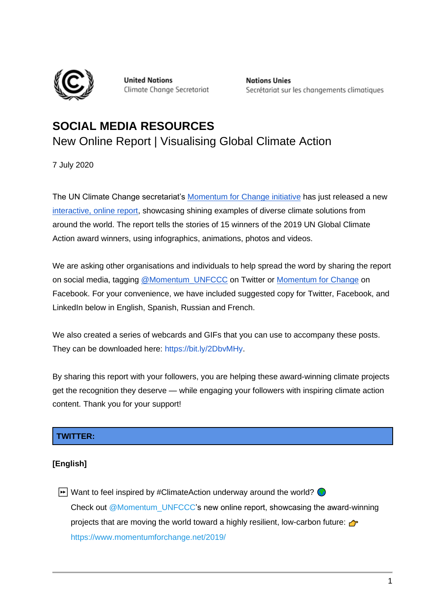

**United Nations** Climate Change Secretariat **Nations Unies** Secrétariat sur les changements climatiques

# **SOCIAL MEDIA RESOURCES**  New Online Report | Visualising Global Climate Action

7 July 2020

The UN Climate Change secretariat's [Momentum for Change initiative](http://momentum4change.org/) has just released a new [interactive, online report,](https://www.momentumforchange.net/2019/) showcasing shining examples of diverse climate solutions from around the world. The report tells the stories of 15 winners of the 2019 UN Global Climate Action award winners, using infographics, animations, photos and videos.

We are asking other organisations and individuals to help spread the word by sharing the report on social media, tagging [@Momentum\\_UNFCCC](https://twitter.com/Momentum_UNFCCC?) on Twitter or [Momentum for Change](https://www.facebook.com/unfcccmomentum/) on Facebook. For your convenience, we have included suggested copy for Twitter, Facebook, and LinkedIn below in English, Spanish, Russian and French.

We also created a series of webcards and GIFs that you can use to accompany these posts. They can be downloaded here: [https://bit.ly/2DbvMHy.](https://bit.ly/2DbvMHy)

By sharing this report with your followers, you are helping these award-winning climate projects get the recognition they deserve — while engaging your followers with inspiring climate action content. Thank you for your support!

# **TWITTER:**

# **[English]**

 $\blacktriangleright$  Want to feel inspired by #ClimateAction underway around the world? Check out @Momentum\_UNFCCC's new online report, showcasing the award-winning projects that are moving the world toward a highly resilient, low-carbon future:  $\rightarrow$ <https://www.momentumforchange.net/2019/>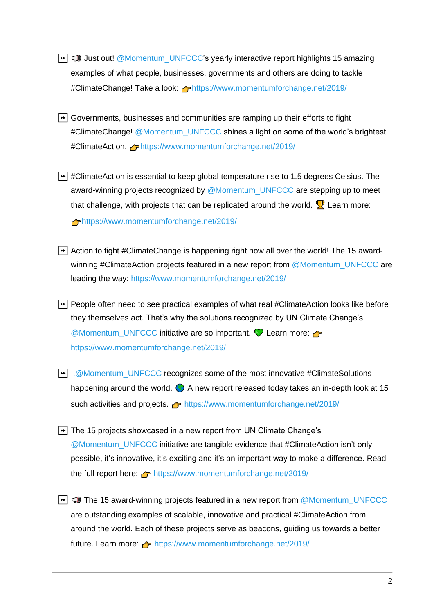- $\blacktriangleright$   $\blacktriangleright$  Just out! @Momentum\_UNFCCC's yearly interactive report highlights 15 amazing examples of what people, businesses, governments and others are doing to tackle #ClimateChange! Take a look: <https://www.momentumforchange.net/2019/>
- **E** Governments, businesses and communities are ramping up their efforts to fight #ClimateChange! @Momentum\_UNFCCC shines a light on some of the world's brightest #ClimateAction. **<https://www.momentumforchange.net/2019/>**
- **E** #ClimateAction is essential to keep global temperature rise to 1.5 degrees Celsius. The award-winning projects recognized by @Momentum\_UNFCCC are stepping up to meet that challenge, with projects that can be replicated around the world.  $\mathbb{R}$  Learn more: <https://www.momentumforchange.net/2019/>
- ► Action to fight #ClimateChange is happening right now all over the world! The 15 awardwinning #ClimateAction projects featured in a new report from @Momentum\_UNFCCC are leading the way: <https://www.momentumforchange.net/2019/>
- ► People often need to see practical examples of what real #ClimateAction looks like before they themselves act. That's why the solutions recognized by UN Climate Change's @Momentum\_UNFCCC initiative are so important.  $\bigcirc$  Learn more:  $\bigcirc$ <https://www.momentumforchange.net/2019/>
- $\boxed{•}$  [.@Momentum\\_UNFCCC](mailto:.@Momentum_UNFCCC) recognizes some of the most innovative #ClimateSolutions happening around the world.  $\bigcirc$  A new report released today takes an in-depth look at 15 such activities and projects. **<https://www.momentumforchange.net/2019/>**
- ► The 15 projects showcased in a new report from UN Climate Change's @Momentum\_UNFCCC initiative are tangible evidence that #ClimateAction isn't only possible, it's innovative, it's exciting and it's an important way to make a difference. Read the full report here: <https://www.momentumforchange.net/2019/>
- $\blacktriangleright$   $\blacktriangleright$  The 15 award-winning projects featured in a new report from @Momentum\_UNFCCC are outstanding examples of scalable, innovative and practical #ClimateAction from around the world. Each of these projects serve as beacons, guiding us towards a better future. Learn more:  $\rightarrow$  <https://www.momentumforchange.net/2019/>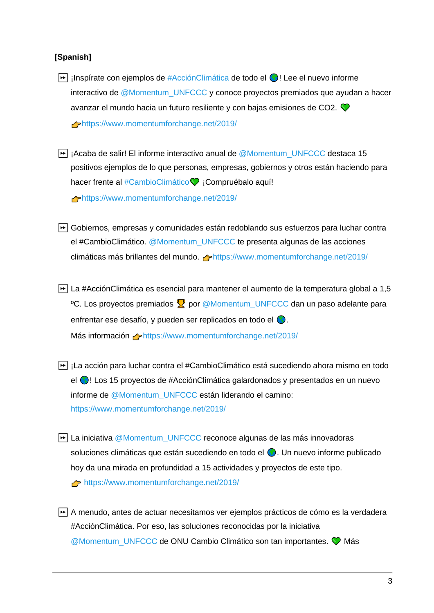#### **[Spanish]**

- $\blacktriangleright$  inspírate con ejemplos de #AcciónClimática de todo el  $\bigcirc$ ! Lee el nuevo informe interactivo de @Momentum\_UNFCCC y conoce proyectos premiados que ayudan a hacer avanzar el mundo hacia un futuro resiliente y con bajas emisiones de CO2. <https://www.momentumforchange.net/2019/>
- $\blacktriangleright$  i Acaba de salir! El informe interactivo anual de @Momentum\_UNFCCC destaca 15 positivos ejemplos de lo que personas, empresas, gobiernos y otros están haciendo para hacer frente al #CambioClimático V ¡Compruébalo aquí! <https://www.momentumforchange.net/2019/>
- ⏩ Gobiernos, empresas y comunidades están redoblando sus esfuerzos para luchar contra el #CambioClimático. @Momentum\_UNFCCC te presenta algunas de las acciones climáticas más brillantes del mundo.  $\bigoplus$ https://www.momentumforchange.net/2019/
- ⏩ La #AcciónClimática es esencial para mantener el aumento de la temperatura global a 1,5 <sup>o</sup>C. Los proyectos premiados X por @Momentum\_UNFCCC dan un paso adelante para enfrentar ese desafío, y pueden ser replicados en todo el  $\bigcirc$ . Más información **Atternation mentumforchange.net/2019/**
- **E**i ¡La acción para luchar contra el #CambioClimático está sucediendo ahora mismo en todo el **O**! Los 15 proyectos de #AcciónClimática galardonados y presentados en un nuevo informe de @Momentum\_UNFCCC están liderando el camino: <https://www.momentumforchange.net/2019/>
- ► La iniciativa @Momentum\_UNFCCC reconoce algunas de las más innovadoras soluciones climáticas que están sucediendo en todo el  $\bigcirc$ . Un nuevo informe publicado hoy da una mirada en profundidad a 15 actividades y proyectos de este tipo. <https://www.momentumforchange.net/2019/>
- ⏩ A menudo, antes de actuar necesitamos ver ejemplos prácticos de cómo es la verdadera #AcciónClimática. Por eso, las soluciones reconocidas por la iniciativa @Momentum\_UNFCCC de ONU Cambio Climático son tan importantes. V Más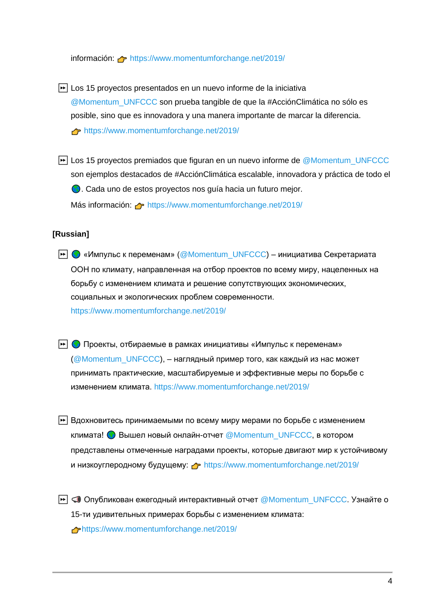información: <https://www.momentumforchange.net/2019/>

► Los 15 provectos presentados en un nuevo informe de la iniciativa @Momentum\_UNFCCC son prueba tangible de que la #AcciónClimática no sólo es posible, sino que es innovadora y una manera importante de marcar la diferencia. <https://www.momentumforchange.net/2019/>

**E** Los 15 provectos premiados que figuran en un nuevo informe de @Momentum\_UNFCCC son ejemplos destacados de #AcciónClimática escalable, innovadora y práctica de todo el . Cada uno de estos proyectos nos guía hacia un futuro mejor.

Más información: **Attella** <https://www.momentumforchange.net/2019/>

## **[Russian]**

- **→ © «Импульс к переменам»** (@Momentum\_UNFCCC) инициатива Секретариата ООН по климату, направленная на отбор проектов по всему миру, нацеленных на борьбу с изменением климата и решение сопутствующих экономических, социальных и экологических проблем современности. https://www.momentumforchange.net/2019/
- **|→ | Проекты, отбираемые в рамках инициативы «Импульс к переменам»** (@Momentum\_UNFCCC), – наглядный пример того, как каждый из нас может принимать практические, масштабируемые и эффективные меры по борьбе с изменением климата. https://www.momentumforchange.net/2019/
- $\triangleright$  Вдохновитесь принимаемыми по всему миру мерами по борьбе с изменением климата!  $\bigcirc$  Вышел новый онлайн-отчет @Momentum\_UNFCCC, в котором представлены отмеченные наградами проекты, которые двигают мир к устойчивому и низкоуглеродному будущему: phttps://www.momentumforchange.net/2019/
- ► © Опубликован ежегодный интерактивный отчет @Momentum\_UNFCCC. Узнайте о 15-ти удивительных примерах борьбы с изменением климата: https://www.momentumforchange.net/2019/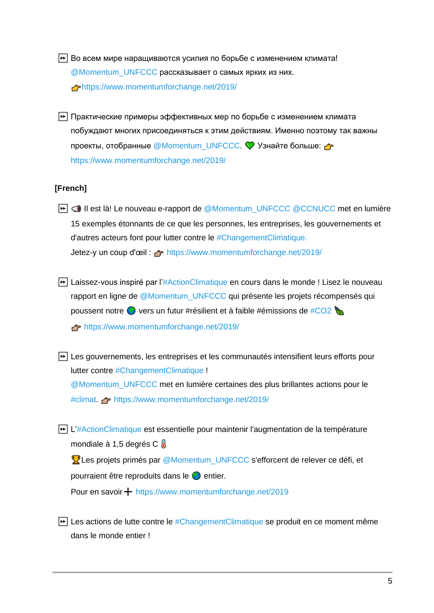- $\blacktriangleright$  Во всем мире наращиваются усилия по борьбе с изменением климата! @Momentum\_UNFCCC рассказывает о самых ярких из них. https://www.momentumforchange.net/2019/
- $\blacktriangleright$  Практические примеры эффективных мер по борьбе с изменением климата побуждают многих присоединяться к этим действиям. Именно поэтому так важны проекты, отобранные @Momentum\_UNFCCC. У Узнайте больше: https://www.momentumforchange.net/2019/

## **[French]**

- **E**  $\Box$  Il est là! Le nouveau e-rapport de @Momentum\_UNFCCC @CCNUCC met en lumière 15 exemples étonnants de ce que les personnes, les entreprises, les gouvernements et d'autres acteurs font pour lutter contre le #ChangementClimatique. Jetez-y un coup d'œil : <https://www.momentumforchange.net/2019/>
- **E**ialissez-vous inspiré par l'#ActionClimatique en cours dans le monde ! Lisez le nouveau rapport en ligne de @Momentum\_UNFCCC qui présente les projets récompensés qui poussent notre  $\bigcirc$  vers un futur #résilient et à faible #émissions de #CO2 <https://www.momentumforchange.net/2019/>
- **E** Les gouvernements, les entreprises et les communautés intensifient leurs efforts pour lutter contre #ChangementClimatique ! @Momentum\_UNFCCC met en lumière certaines des plus brillantes actions pour le #climat. <https://www.momentumforchange.net/2019/>
- **E** L'#ActionClimatique est essentielle pour maintenir l'augmentation de la température mondiale à 1,5 degrés C

**V** Les projets primés par @Momentum\_UNFCCC s'efforcent de relever ce défi, et pourraient être reproduits dans le  $\bigcirc$  entier.

Pour en savoir + <https://www.momentumforchange.net/2019>

 $\blacktriangleright$  Les actions de lutte contre le #ChangementClimatique se produit en ce moment même dans le monde entier !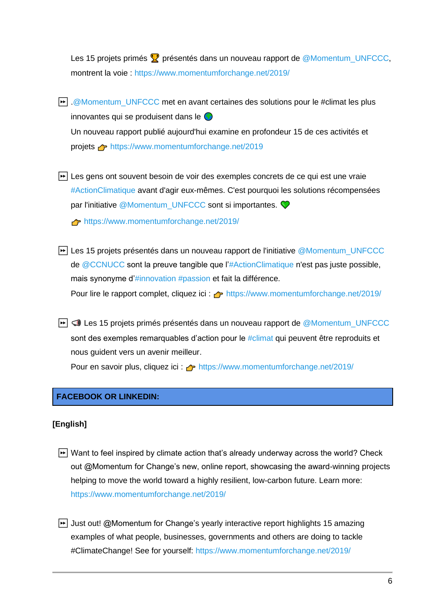Les 15 projets primés  $\Omega$  présentés dans un nouveau rapport de @Momentum\_UNFCCC, montrent la voie :<https://www.momentumforchange.net/2019/>

- <u>➡ .@Momentum\_UNFCCC</u> met en avant certaines des solutions pour le #climat les plus innovantes qui se produisent dans le Un nouveau rapport publié aujourd'hui examine en profondeur 15 de ces activités et projets <https://www.momentumforchange.net/2019>
- **E** Les gens ont souvent besoin de voir des exemples concrets de ce qui est une vraie #ActionClimatique avant d'agir eux-mêmes. C'est pourquoi les solutions récompensées par l'initiative @Momentum\_UNFCCC sont si importantes. <https://www.momentumforchange.net/2019/>
- **E** Les 15 projets présentés dans un nouveau rapport de l'initiative @Momentum\_UNFCCC de @CCNUCC sont la preuve tangible que l'#ActionClimatique n'est pas juste possible, mais synonyme d'#innovation #passion et fait la différence. Pour lire le rapport complet, cliquez ici :  $\rightarrow$  <https://www.momentumforchange.net/2019/>
- **E**  $\bigcirc$  Les 15 projets primés présentés dans un nouveau rapport de @Momentum\_UNFCCC sont des exemples remarquables d'action pour le #climat qui peuvent être reproduits et nous guident vers un avenir meilleur.

Pour en savoir plus, cliquez ici : net <https://www.momentumforchange.net/2019/>

# **FACEBOOK OR LINKEDIN:**

#### **[English]**

- $\blacktriangleright$  Want to feel inspired by climate action that's already underway across the world? Check out @Momentum for Change's new, online report, showcasing the award-winning projects helping to move the world toward a highly resilient, low-carbon future. Learn more: <https://www.momentumforchange.net/2019/>
- **→** Just out! @Momentum for Change's yearly interactive report highlights 15 amazing examples of what people, businesses, governments and others are doing to tackle #ClimateChange! See for yourself:<https://www.momentumforchange.net/2019/>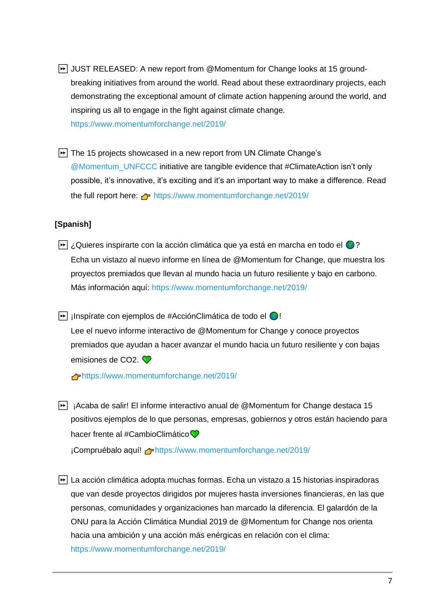- ► JUST RELEASED: A new report from @Momentum for Change looks at 15 groundbreaking initiatives from around the world. Read about these extraordinary projects, each demonstrating the exceptional amount of climate action happening around the world, and inspiring us all to engage in the fight against climate change. <https://www.momentumforchange.net/2019/>
- ► The 15 projects showcased in a new report from UN Climate Change's @Momentum\_UNFCCC initiative are tangible evidence that #ClimateAction isn't only possible, it's innovative, it's exciting and it's an important way to make a difference. Read the full report here:  $\rightarrow$  <https://www.momentumforchange.net/2019/>

## **[Spanish]**

 $\blacktriangleright$  ¿Quieres inspirarte con la acción climática que ya está en marcha en todo el  $\bigcirc$ ? Echa un vistazo al nuevo informe en línea de @Momentum for Change, que muestra los proyectos premiados que llevan al mundo hacia un futuro resiliente y bajo en carbono. Más información aquí: https://www.momentumforchange.net/2019/

 $\blacktriangleright$  inspírate con ejemplos de #AcciónClimática de todo el  $\blacklozenge$ !

Lee el nuevo informe interactivo de @Momentum for Change y conoce proyectos premiados que ayudan a hacer avanzar el mundo hacia un futuro resiliente y con bajas emisiones de CO<sub>2</sub>.

<https://www.momentumforchange.net/2019/>

 $\blacktriangleright$  ¡Acaba de salir! El informe interactivo anual de @Momentum for Change destaca 15 positivos ejemplos de lo que personas, empresas, gobiernos y otros están haciendo para hacer frente al #CambioClimático

¡Compruébalo aquí! ← <https://www.momentumforchange.net/2019/>

**E** La acción climática adopta muchas formas. Echa un vistazo a 15 historias inspiradoras que van desde proyectos dirigidos por mujeres hasta inversiones financieras, en las que personas, comunidades y organizaciones han marcado la diferencia. El galardón de la ONU para la Acción Climática Mundial 2019 de @Momentum for Change nos orienta hacia una ambición y una acción más enérgicas en relación con el clima: <https://www.momentumforchange.net/2019/>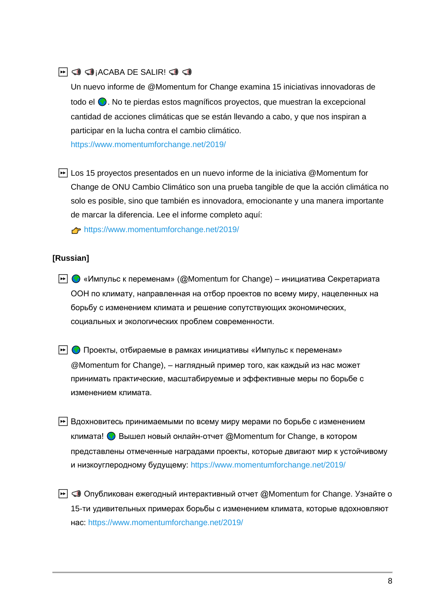# $\blacktriangleright$   $\Box$   $\Box$   $\Box$  ACABA DE SALIR!  $\Box$   $\Box$

Un nuevo informe de @Momentum for Change examina 15 iniciativas innovadoras de todo el  $\bigodot$ . No te pierdas estos magníficos proyectos, que muestran la excepcional cantidad de acciones climáticas que se están llevando a cabo, y que nos inspiran a participar en la lucha contra el cambio climático.

<https://www.momentumforchange.net/2019/>

► Los 15 provectos presentados en un nuevo informe de la iniciativa @Momentum for Change de ONU Cambio Climático son una prueba tangible de que la acción climática no solo es posible, sino que también es innovadora, emocionante y una manera importante de marcar la diferencia. Lee el informe completo aquí:

<https://www.momentumforchange.net/2019/>

#### **[Russian]**

- $\blacktriangleright$   $\bigcirc$  «Импульс к переменам» (@Momentum for Change) инициатива Секретариата ООН по климату, направленная на отбор проектов по всему миру, нацеленных на борьбу с изменением климата и решение сопутствующих экономических, социальных и экологических проблем современности.
- **► Проекты, отбираемые в рамках инициативы «Импульс к переменам»** @Momentum for Change), – наглядный пример того, как каждый из нас может принимать практические, масштабируемые и эффективные меры по борьбе с изменением климата.
- $\blacktriangleright$  Вдохновитесь принимаемыми по всему миру мерами по борьбе с изменением климата!  $\bigcirc$  Вышел новый онлайн-отчет @Momentum for Change, в котором представлены отмеченные наградами проекты, которые двигают мир к устойчивому и низкоуглеродному будущему: https://www.momentumforchange.net/2019/
- $\blacktriangleright$   $\blacktriangleright$  Опубликован ежегодный интерактивный отчет @Momentum for Change. Узнайте о 15-ти удивительных примерах борьбы с изменением климата, которые вдохновляют нас: https://www.momentumforchange.net/2019/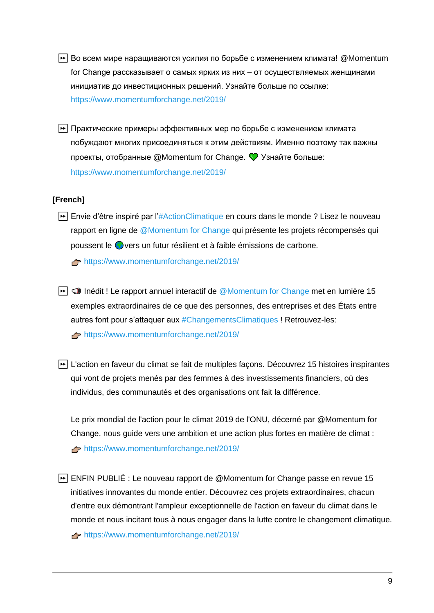- **► Во всем мире наращиваются усилия по борьбе с изменением климата! @Momentum** for Change рассказывает о самых ярких из них – от осуществляемых женщинами инициатив до инвестиционных решений. Узнайте больше по ссылке: https://www.momentumforchange.net/2019/
- ⏩ Практические примеры эффективных мер по борьбе с изменением климата побуждают многих присоединяться к этим действиям. Именно поэтому так важны проекты, отобранные  $\omega$  Momentum for Change.  $\heartsuit$  Узнайте больше: https://www.momentumforchange.net/2019/

# **[French]**

**Envie d'être inspiré par l'#ActionClimatique en cours dans le monde ?** Lisez le nouveau rapport en ligne de @Momentum for Change qui présente les projets récompensés qui poussent le vers un futur résilient et à faible émissions de carbone.

<https://www.momentumforchange.net/2019/>

- Inédit ! Le rapport annuel interactif de @Momentum for Change met en lumière 15 exemples extraordinaires de ce que des personnes, des entreprises et des États entre autres font pour s'attaquer aux #ChangementsClimatiques ! Retrouvez-les: <https://www.momentumforchange.net/2019/>
- ► L'action en faveur du climat se fait de multiples façons. Découvrez 15 histoires inspirantes qui vont de projets menés par des femmes à des investissements financiers, où des individus, des communautés et des organisations ont fait la différence.

Le prix mondial de l'action pour le climat 2019 de l'ONU, décerné par @Momentum for Change, nous guide vers une ambition et une action plus fortes en matière de climat : <https://www.momentumforchange.net/2019/>

⏩ ENFIN PUBLIÉ : Le nouveau rapport de @Momentum for Change passe en revue 15 initiatives innovantes du monde entier. Découvrez ces projets extraordinaires, chacun d'entre eux démontrant l'ampleur exceptionnelle de l'action en faveur du climat dans le monde et nous incitant tous à nous engager dans la lutte contre le changement climatique.

<https://www.momentumforchange.net/2019/>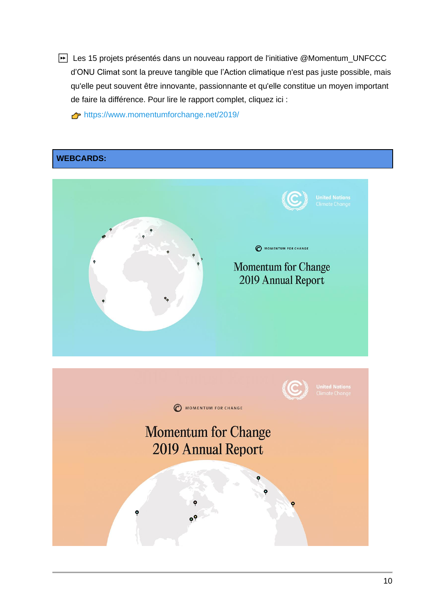⏩ Les 15 projets présentés dans un nouveau rapport de l'initiative @Momentum\_UNFCCC d'ONU Climat sont la preuve tangible que l'Action climatique n'est pas juste possible, mais qu'elle peut souvent être innovante, passionnante et qu'elle constitue un moyen important de faire la différence. Pour lire le rapport complet, cliquez ici :

<https://www.momentumforchange.net/2019/>

# **WEBCARDS:**